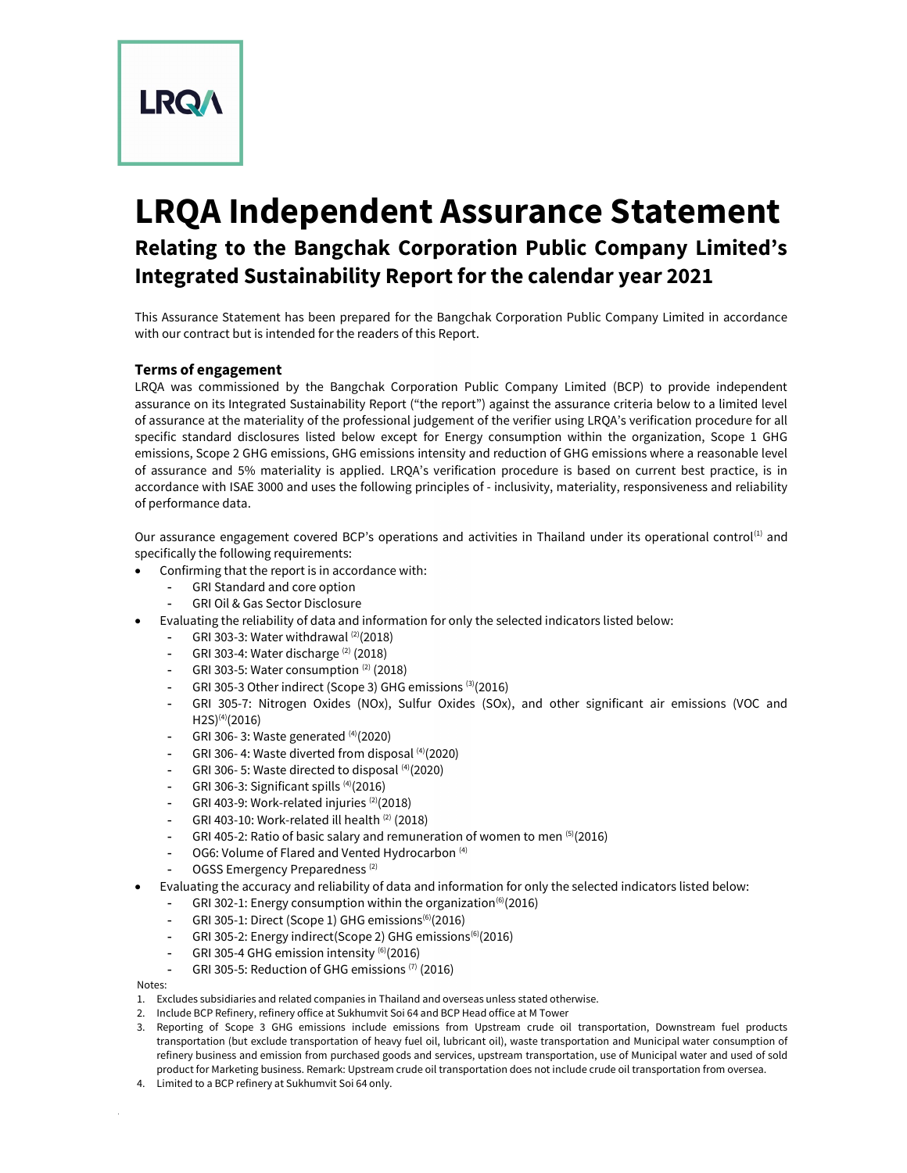**LRQA** 

# LRQA Independent Assurance Statement Relating to the Bangchak Corporation Public Company Limited's Integrated Sustainability Report for the calendar year 2021

This Assurance Statement has been prepared for the Bangchak Corporation Public Company Limited in accordance with our contract but is intended for the readers of this Report.

## Terms of engagement

LRQA was commissioned by the Bangchak Corporation Public Company Limited (BCP) to provide independent assurance on its Integrated Sustainability Report ("the report") against the assurance criteria below to a limited level of assurance at the materiality of the professional judgement of the verifier using LRQA's verification procedure for all specific standard disclosures listed below except for Energy consumption within the organization, Scope 1 GHG emissions, Scope 2 GHG emissions, GHG emissions intensity and reduction of GHG emissions where a reasonable level of assurance and 5% materiality is applied. LRQA's verification procedure is based on current best practice, is in accordance with ISAE 3000 and uses the following principles of - inclusivity, materiality, responsiveness and reliability of performance data.

Our assurance engagement covered BCP's operations and activities in Thailand under its operational control<sup>(1)</sup> and specifically the following requirements:

- Confirming that the report is in accordance with:
	- GRI Standard and core option
	- GRI Oil & Gas Sector Disclosure
- Evaluating the reliability of data and information for only the selected indicators listed below:
	- GRI 303-3: Water withdrawal  $(2)(2018)$
	- GRI 303-4: Water discharge (2) (2018)
	- GRI 303-5: Water consumption  $(2)$  (2018)
	- GRI 305-3 Other indirect (Scope 3) GHG emissions (3)(2016)
	- GRI 305-7: Nitrogen Oxides (NOx), Sulfur Oxides (SOx), and other significant air emissions (VOC and  $H2S^{(4)}(2016)$
	- GRI 306-3: Waste generated (4)(2020)
	- GRI 306- 4: Waste diverted from disposal (4)(2020)
	- GRI 306-5: Waste directed to disposal (4)(2020)
	- GRI 306-3: Significant spills  $(4)(2016)$
	- GRI 403-9: Work-related injuries (2)(2018)
	- GRI 403-10: Work-related ill health (2) (2018)
	- GRI 405-2: Ratio of basic salary and remuneration of women to men (5)(2016)
	- OG6: Volume of Flared and Vented Hydrocarbon<sup>(4)</sup>
	- OGSS Emergency Preparedness<sup>(2)</sup>
- Evaluating the accuracy and reliability of data and information for only the selected indicators listed below:
	- GRI 302-1: Energy consumption within the organization<sup>(6)</sup>(2016)
	- GRI 305-1: Direct (Scope 1) GHG emissions<sup>(6)</sup>(2016)
	- GRI 305-2: Energy indirect(Scope 2) GHG emissions<sup>(6)</sup>(2016)
	- GRI 305-4 GHG emission intensity (6)(2016)
	- GRI 305-5: Reduction of GHG emissions (7) (2016)

Notes:

- 1. Excludes subsidiaries and related companies in Thailand and overseas unless stated otherwise.
- 2. Include BCP Refinery, refinery office at Sukhumvit Soi 64 and BCP Head office at M Tower
- 3. Reporting of Scope 3 GHG emissions include emissions from Upstream crude oil transportation, Downstream fuel products transportation (but exclude transportation of heavy fuel oil, lubricant oil), waste transportation and Municipal water consumption of refinery business and emission from purchased goods and services, upstream transportation, use of Municipal water and used of sold product for Marketing business. Remark: Upstream crude oil transportation does not include crude oil transportation from oversea.
- 4. Limited to a BCP refinery at Sukhumvit Soi 64 only.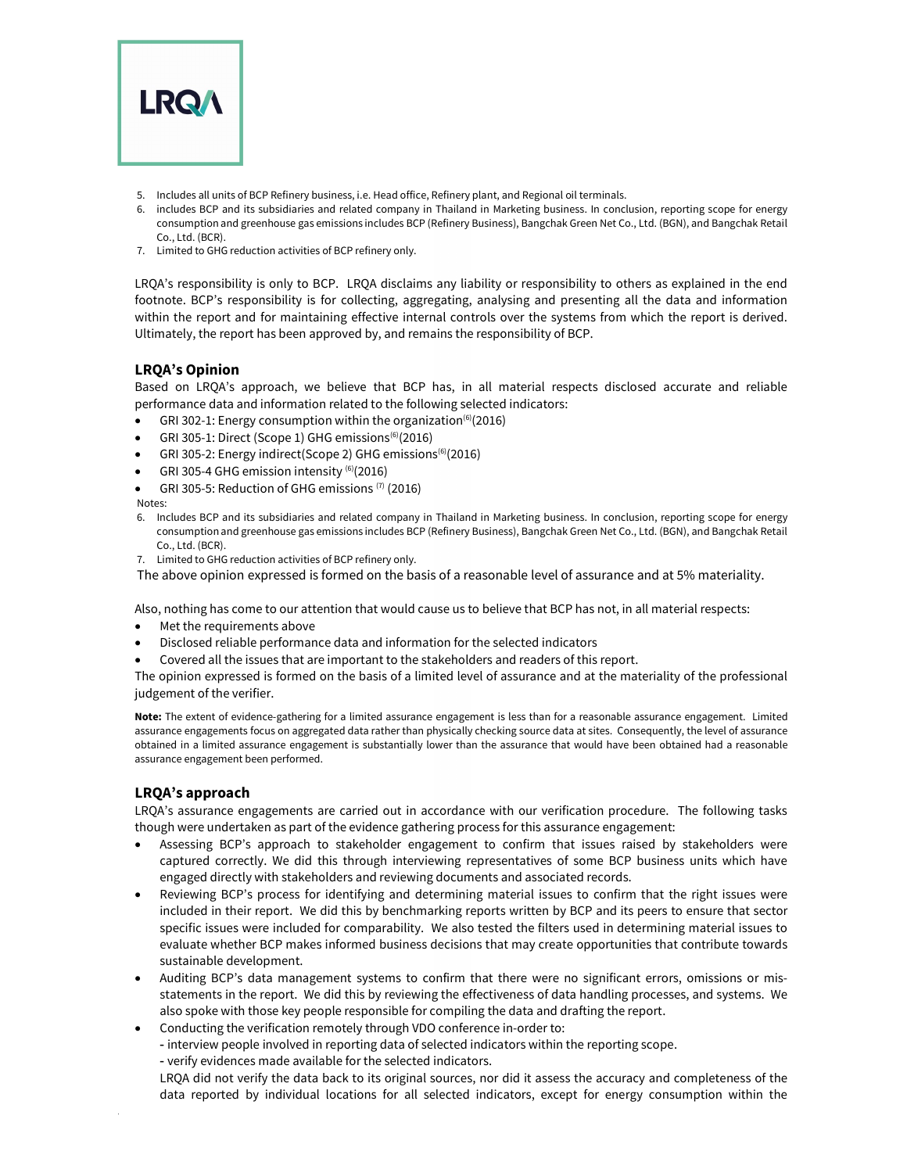

- 5. Includes all units of BCP Refinery business, i.e. Head office, Refinery plant, and Regional oil terminals.
- 6. includes BCP and its subsidiaries and related company in Thailand in Marketing business. In conclusion, reporting scope for energy consumption and greenhouse gas emissions includes BCP (Refinery Business), Bangchak Green Net Co., Ltd. (BGN), and Bangchak Retail Co., Ltd. (BCR).
- 7. Limited to GHG reduction activities of BCP refinery only.

LRQA's responsibility is only to BCP. LRQA disclaims any liability or responsibility to others as explained in the end footnote. BCP's responsibility is for collecting, aggregating, analysing and presenting all the data and information within the report and for maintaining effective internal controls over the systems from which the report is derived. Ultimately, the report has been approved by, and remains the responsibility of BCP.

## LRQA's Opinion

Based on LRQA's approach, we believe that BCP has, in all material respects disclosed accurate and reliable performance data and information related to the following selected indicators:

- GRI 302-1: Energy consumption within the organization<sup>(6)</sup>(2016)
- GRI 305-1: Direct (Scope 1) GHG emissions $^{(6)}$ (2016)
- GRI 305-2: Energy indirect(Scope 2) GHG emissions<sup>(6)</sup>(2016)
- GRI 305-4 GHG emission intensity (6)(2016)
- GRI 305-5: Reduction of GHG emissions (7) (2016)

Notes:

- 6. Includes BCP and its subsidiaries and related company in Thailand in Marketing business. In conclusion, reporting scope for energy consumption and greenhouse gas emissions includes BCP (Refinery Business), Bangchak Green Net Co., Ltd. (BGN), and Bangchak Retail Co., Ltd. (BCR).
- 7. Limited to GHG reduction activities of BCP refinery only.

The above opinion expressed is formed on the basis of a reasonable level of assurance and at 5% materiality.

Also, nothing has come to our attention that would cause us to believe that BCP has not, in all material respects:

- Met the requirements above
- Disclosed reliable performance data and information for the selected indicators
- Covered all the issues that are important to the stakeholders and readers of this report.

The opinion expressed is formed on the basis of a limited level of assurance and at the materiality of the professional judgement of the verifier.

Note: The extent of evidence-gathering for a limited assurance engagement is less than for a reasonable assurance engagement. Limited assurance engagements focus on aggregated data rather than physically checking source data at sites. Consequently, the level of assurance obtained in a limited assurance engagement is substantially lower than the assurance that would have been obtained had a reasonable assurance engagement been performed.

## LRQA's approach

LRQA's assurance engagements are carried out in accordance with our verification procedure. The following tasks though were undertaken as part of the evidence gathering process for this assurance engagement:

- Assessing BCP's approach to stakeholder engagement to confirm that issues raised by stakeholders were captured correctly. We did this through interviewing representatives of some BCP business units which have engaged directly with stakeholders and reviewing documents and associated records.
- Reviewing BCP's process for identifying and determining material issues to confirm that the right issues were included in their report. We did this by benchmarking reports written by BCP and its peers to ensure that sector specific issues were included for comparability. We also tested the filters used in determining material issues to evaluate whether BCP makes informed business decisions that may create opportunities that contribute towards sustainable development.
- Auditing BCP's data management systems to confirm that there were no significant errors, omissions or misstatements in the report. We did this by reviewing the effectiveness of data handling processes, and systems. We also spoke with those key people responsible for compiling the data and drafting the report.
- Conducting the verification remotely through VDO conference in-order to:
- interview people involved in reporting data of selected indicators within the reporting scope.
- verify evidences made available for the selected indicators.

LRQA did not verify the data back to its original sources, nor did it assess the accuracy and completeness of the data reported by individual locations for all selected indicators, except for energy consumption within the